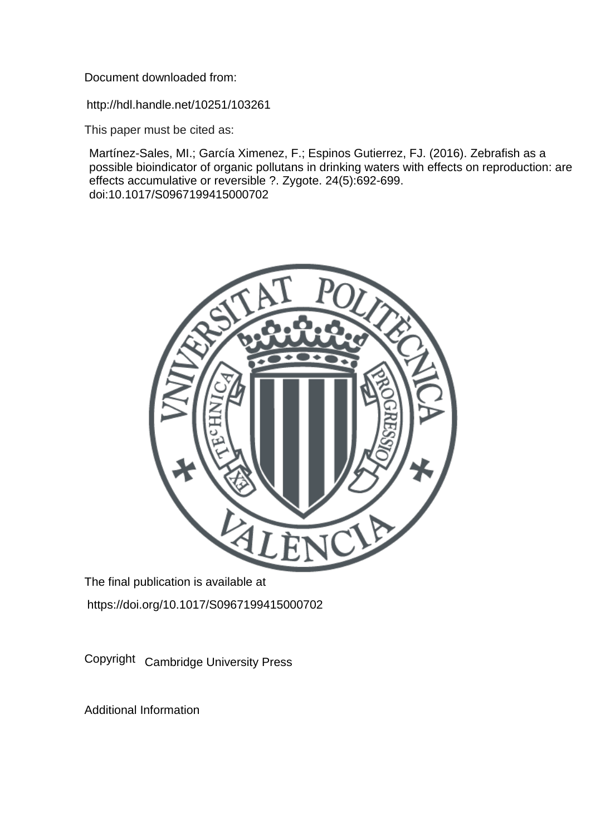Document downloaded from:

http://hdl.handle.net/10251/103261

This paper must be cited as:

Martínez-Sales, MI.; García Ximenez, F.; Espinos Gutierrez, FJ. (2016). Zebrafish as a possible bioindicator of organic pollutans in drinking waters with effects on reproduction: are effects accumulative or reversible ?. Zygote. 24(5):692-699. doi:10.1017/S0967199415000702



The final publication is available at https://doi.org/10.1017/S0967199415000702

Copyright Cambridge University Press

Additional Information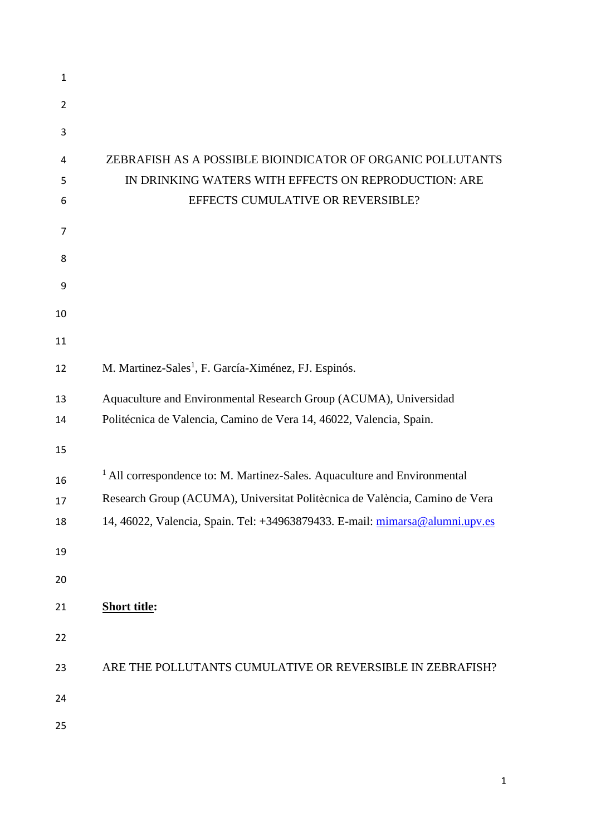| $\mathbf{1}$   |                                                                                      |
|----------------|--------------------------------------------------------------------------------------|
| $\overline{2}$ |                                                                                      |
| 3              |                                                                                      |
| 4              | ZEBRAFISH AS A POSSIBLE BIOINDICATOR OF ORGANIC POLLUTANTS                           |
| 5              | IN DRINKING WATERS WITH EFFECTS ON REPRODUCTION: ARE                                 |
| 6              | EFFECTS CUMULATIVE OR REVERSIBLE?                                                    |
| 7              |                                                                                      |
| 8              |                                                                                      |
| 9              |                                                                                      |
| 10             |                                                                                      |
| 11             |                                                                                      |
| 12             | M. Martinez-Sales <sup>1</sup> , F. García-Ximénez, FJ. Espinós.                     |
| 13             | Aquaculture and Environmental Research Group (ACUMA), Universidad                    |
| 14             | Politécnica de Valencia, Camino de Vera 14, 46022, Valencia, Spain.                  |
| 15             |                                                                                      |
| 16             | <sup>1</sup> All correspondence to: M. Martinez-Sales. Aquaculture and Environmental |
| 17             | Research Group (ACUMA), Universitat Politècnica de València, Camino de Vera          |
| 18             | 14, 46022, Valencia, Spain. Tel: +34963879433. E-mail: mimarsa@alumni.upv.es         |
| 19             |                                                                                      |
| 20             |                                                                                      |
| 21             | <b>Short title:</b>                                                                  |
| 22             |                                                                                      |
| 23             | ARE THE POLLUTANTS CUMULATIVE OR REVERSIBLE IN ZEBRAFISH?                            |
| 24             |                                                                                      |
| 25             |                                                                                      |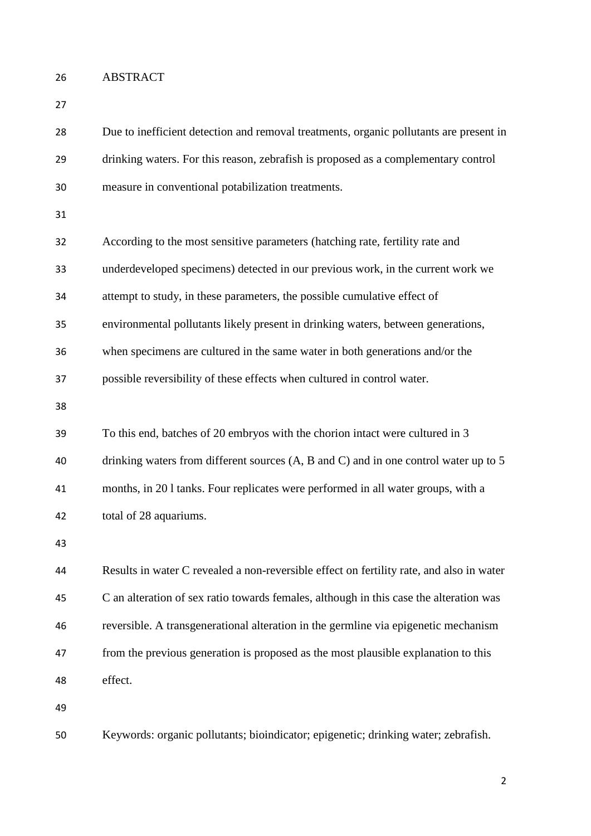ABSTRACT

 Due to inefficient detection and removal treatments, organic pollutants are present in drinking waters. For this reason, zebrafish is proposed as a complementary control measure in conventional potabilization treatments.

| 32 | According to the most sensitive parameters (hatching rate, fertility rate and            |
|----|------------------------------------------------------------------------------------------|
| 33 | underdeveloped specimens) detected in our previous work, in the current work we          |
| 34 | attempt to study, in these parameters, the possible cumulative effect of                 |
| 35 | environmental pollutants likely present in drinking waters, between generations,         |
| 36 | when specimens are cultured in the same water in both generations and/or the             |
| 37 | possible reversibility of these effects when cultured in control water.                  |
| 38 |                                                                                          |
| 39 | To this end, batches of 20 embryos with the chorion intact were cultured in 3            |
| 40 | drinking waters from different sources (A, B and C) and in one control water up to 5     |
| 41 | months, in 201 tanks. Four replicates were performed in all water groups, with a         |
| 42 | total of 28 aquariums.                                                                   |
| 43 |                                                                                          |
| 44 | Results in water C revealed a non-reversible effect on fertility rate, and also in water |

 C an alteration of sex ratio towards females, although in this case the alteration was reversible. A transgenerational alteration in the germline via epigenetic mechanism from the previous generation is proposed as the most plausible explanation to this effect.

Keywords: organic pollutants; bioindicator; epigenetic; drinking water; zebrafish.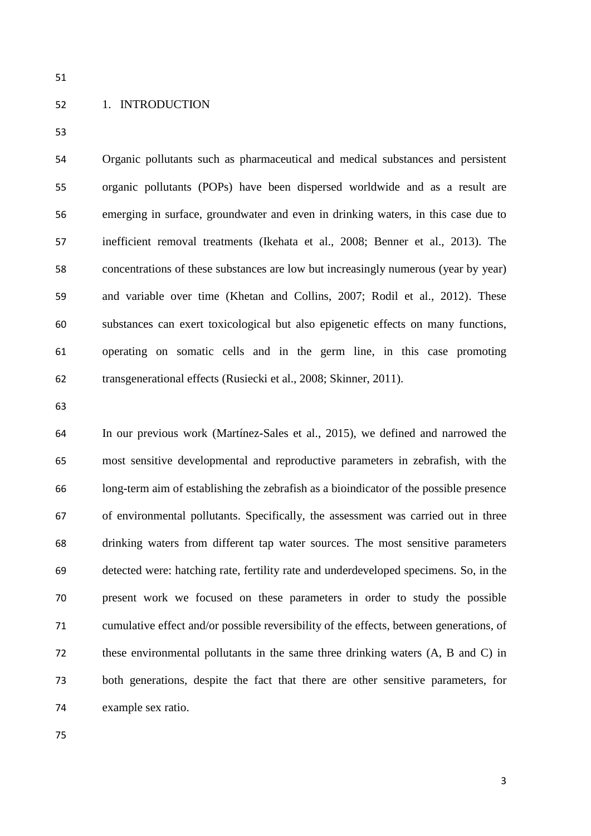# 1. INTRODUCTION

 Organic pollutants such as pharmaceutical and medical substances and persistent organic pollutants (POPs) have been dispersed worldwide and as a result are emerging in surface, groundwater and even in drinking waters, in this case due to inefficient removal treatments (Ikehata et al., 2008; Benner et al., 2013). The concentrations of these substances are low but increasingly numerous (year by year) and variable over time (Khetan and Collins, 2007; Rodil et al., 2012). These substances can exert toxicological but also epigenetic effects on many functions, operating on somatic cells and in the germ line, in this case promoting transgenerational effects (Rusiecki et al., 2008; Skinner, 2011).

 In our previous work (Martínez-Sales et al., 2015), we defined and narrowed the most sensitive developmental and reproductive parameters in zebrafish, with the long-term aim of establishing the zebrafish as a bioindicator of the possible presence of environmental pollutants. Specifically, the assessment was carried out in three drinking waters from different tap water sources. The most sensitive parameters detected were: hatching rate, fertility rate and underdeveloped specimens. So, in the present work we focused on these parameters in order to study the possible cumulative effect and/or possible reversibility of the effects, between generations, of these environmental pollutants in the same three drinking waters (A, B and C) in both generations, despite the fact that there are other sensitive parameters, for example sex ratio.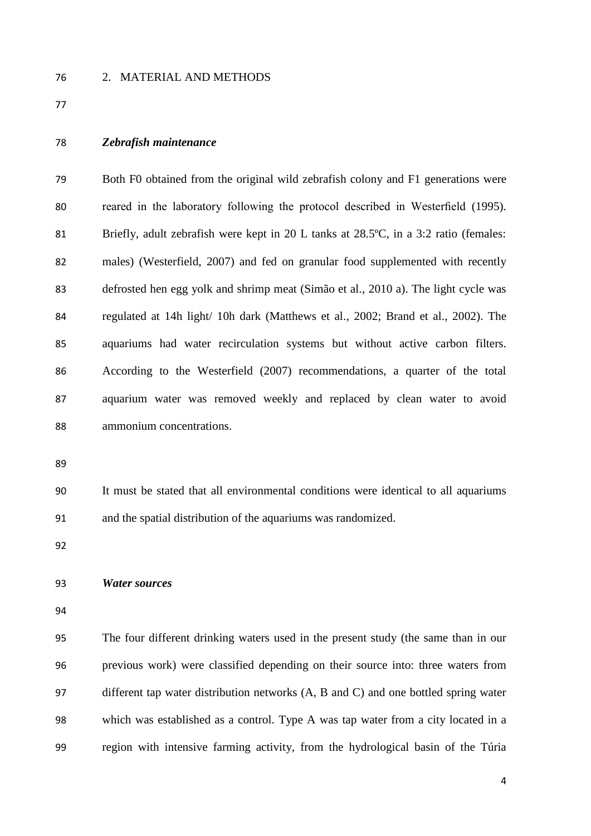### 2. MATERIAL AND METHODS

#### *Zebrafish maintenance*

 Both F0 obtained from the original wild zebrafish colony and F1 generations were reared in the laboratory following the protocol described in Westerfield (1995). Briefly, adult zebrafish were kept in 20 L tanks at 28.5ºC, in a 3:2 ratio (females: males) (Westerfield, 2007) and fed on granular food supplemented with recently defrosted hen egg yolk and shrimp meat (Simão et al., 2010 a). The light cycle was regulated at 14h light/ 10h dark (Matthews et al., 2002; Brand et al., 2002). The aquariums had water recirculation systems but without active carbon filters. According to the Westerfield (2007) recommendations, a quarter of the total aquarium water was removed weekly and replaced by clean water to avoid ammonium concentrations.

 It must be stated that all environmental conditions were identical to all aquariums and the spatial distribution of the aquariums was randomized.

#### *Water sources*

 The four different drinking waters used in the present study (the same than in our previous work) were classified depending on their source into: three waters from different tap water distribution networks (A, B and C) and one bottled spring water which was established as a control. Type A was tap water from a city located in a region with intensive farming activity, from the hydrological basin of the Túria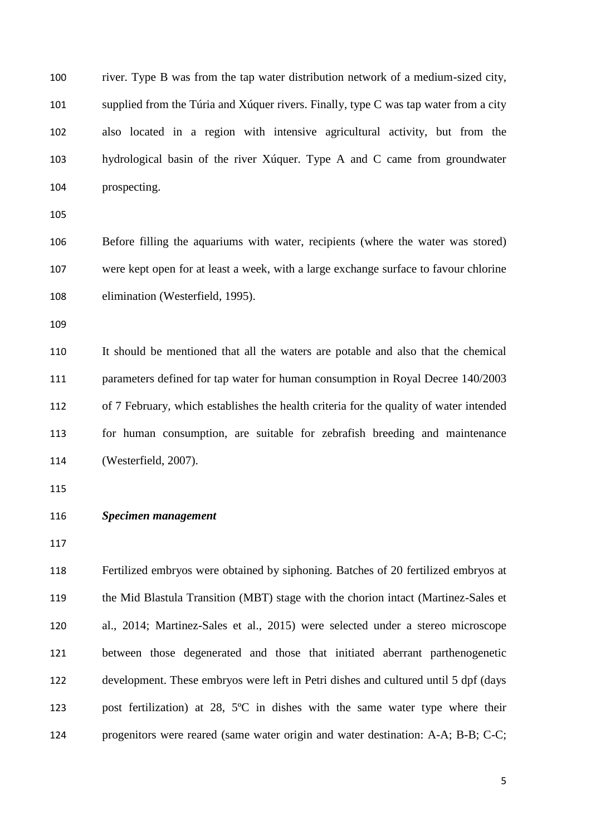river. Type B was from the tap water distribution network of a medium-sized city, supplied from the Túria and Xúquer rivers. Finally, type C was tap water from a city also located in a region with intensive agricultural activity, but from the hydrological basin of the river Xúquer. Type A and C came from groundwater prospecting.

 Before filling the aquariums with water, recipients (where the water was stored) were kept open for at least a week, with a large exchange surface to favour chlorine elimination (Westerfield, 1995).

 It should be mentioned that all the waters are potable and also that the chemical parameters defined for tap water for human consumption in Royal Decree 140/2003 of 7 February, which establishes the health criteria for the quality of water intended for human consumption, are suitable for zebrafish breeding and maintenance (Westerfield, 2007).

## *Specimen management*

 Fertilized embryos were obtained by siphoning. Batches of 20 fertilized embryos at the Mid Blastula Transition (MBT) stage with the chorion intact (Martinez-Sales et al., 2014; Martinez-Sales et al., 2015) were selected under a stereo microscope between those degenerated and those that initiated aberrant parthenogenetic development. These embryos were left in Petri dishes and cultured until 5 dpf (days post fertilization) at 28, 5ºC in dishes with the same water type where their progenitors were reared (same water origin and water destination: A-A; B-B; C-C;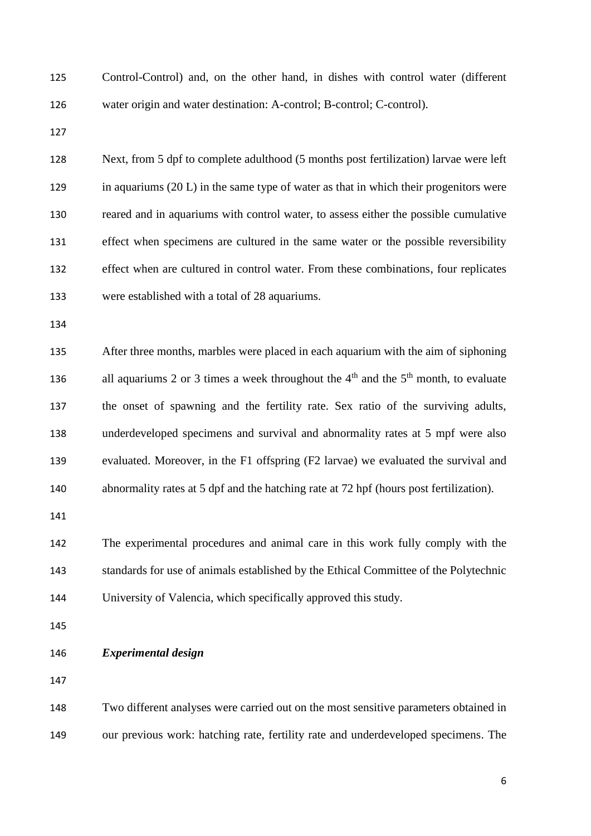Control-Control) and, on the other hand, in dishes with control water (different water origin and water destination: A-control; B-control; C-control).

 Next, from 5 dpf to complete adulthood (5 months post fertilization) larvae were left in aquariums (20 L) in the same type of water as that in which their progenitors were reared and in aquariums with control water, to assess either the possible cumulative effect when specimens are cultured in the same water or the possible reversibility effect when are cultured in control water. From these combinations, four replicates were established with a total of 28 aquariums.

 After three months, marbles were placed in each aquarium with the aim of siphoning 136 all aquariums 2 or 3 times a week throughout the  $4<sup>th</sup>$  and the  $5<sup>th</sup>$  month, to evaluate the onset of spawning and the fertility rate. Sex ratio of the surviving adults, underdeveloped specimens and survival and abnormality rates at 5 mpf were also evaluated. Moreover, in the F1 offspring (F2 larvae) we evaluated the survival and abnormality rates at 5 dpf and the hatching rate at 72 hpf (hours post fertilization).

 The experimental procedures and animal care in this work fully comply with the standards for use of animals established by the Ethical Committee of the Polytechnic University of Valencia, which specifically approved this study.

- 
- *Experimental design*
- 

 Two different analyses were carried out on the most sensitive parameters obtained in our previous work: hatching rate, fertility rate and underdeveloped specimens. The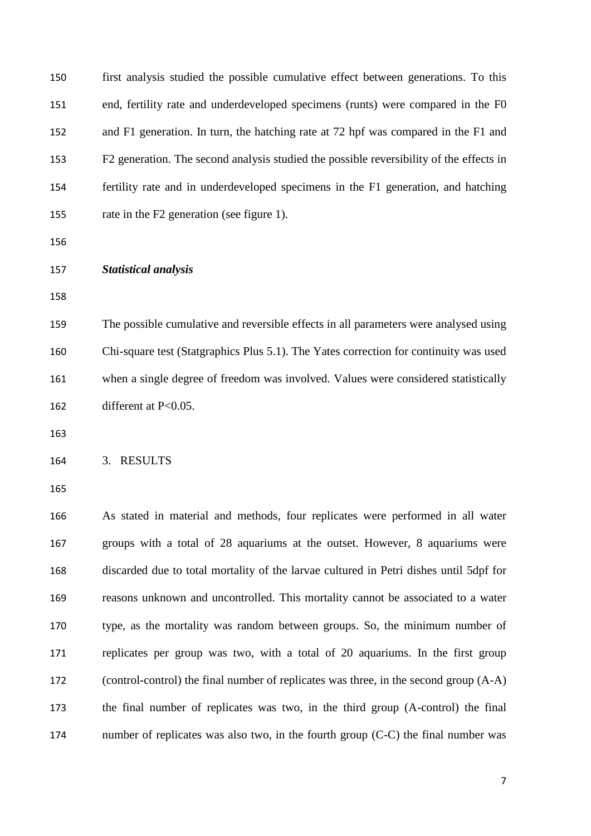first analysis studied the possible cumulative effect between generations. To this end, fertility rate and underdeveloped specimens (runts) were compared in the F0 and F1 generation. In turn, the hatching rate at 72 hpf was compared in the F1 and F2 generation. The second analysis studied the possible reversibility of the effects in fertility rate and in underdeveloped specimens in the F1 generation, and hatching rate in the F2 generation (see figure 1). *Statistical analysis* The possible cumulative and reversible effects in all parameters were analysed using Chi-square test (Statgraphics Plus 5.1). The Yates correction for continuity was used when a single degree of freedom was involved. Values were considered statistically different at P<0.05. 3. RESULTS As stated in material and methods, four replicates were performed in all water groups with a total of 28 aquariums at the outset. However, 8 aquariums were discarded due to total mortality of the larvae cultured in Petri dishes until 5dpf for reasons unknown and uncontrolled. This mortality cannot be associated to a water type, as the mortality was random between groups. So, the minimum number of replicates per group was two, with a total of 20 aquariums. In the first group (control-control) the final number of replicates was three, in the second group (A-A) the final number of replicates was two, in the third group (A-control) the final number of replicates was also two, in the fourth group (C-C) the final number was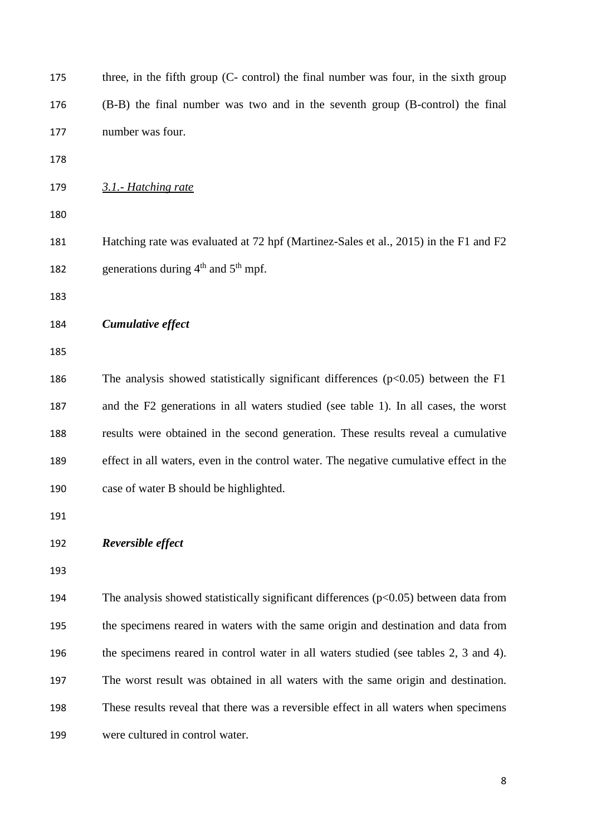| 175 | three, in the fifth group (C- control) the final number was four, in the sixth group   |
|-----|----------------------------------------------------------------------------------------|
| 176 | (B-B) the final number was two and in the seventh group (B-control) the final          |
| 177 | number was four.                                                                       |
| 178 |                                                                                        |
| 179 | 3.1.- Hatching rate                                                                    |
| 180 |                                                                                        |
| 181 | Hatching rate was evaluated at 72 hpf (Martinez-Sales et al., 2015) in the F1 and F2   |
| 182 | generations during $4th$ and $5th$ mpf.                                                |
| 183 |                                                                                        |
| 184 | Cumulative effect                                                                      |
| 185 |                                                                                        |
| 186 | The analysis showed statistically significant differences $(p<0.05)$ between the F1    |
| 187 | and the F2 generations in all waters studied (see table 1). In all cases, the worst    |
| 188 | results were obtained in the second generation. These results reveal a cumulative      |
| 189 | effect in all waters, even in the control water. The negative cumulative effect in the |
| 190 | case of water B should be highlighted.                                                 |
| 191 |                                                                                        |
| 192 | Reversible effect                                                                      |
| 193 |                                                                                        |
| 194 | The analysis showed statistically significant differences $(p<0.05)$ between data from |
| 195 | the specimens reared in waters with the same origin and destination and data from      |
| 196 | the specimens reared in control water in all waters studied (see tables 2, 3 and 4).   |
| 197 | The worst result was obtained in all waters with the same origin and destination.      |
| 198 | These results reveal that there was a reversible effect in all waters when specimens   |
| 199 | were cultured in control water.                                                        |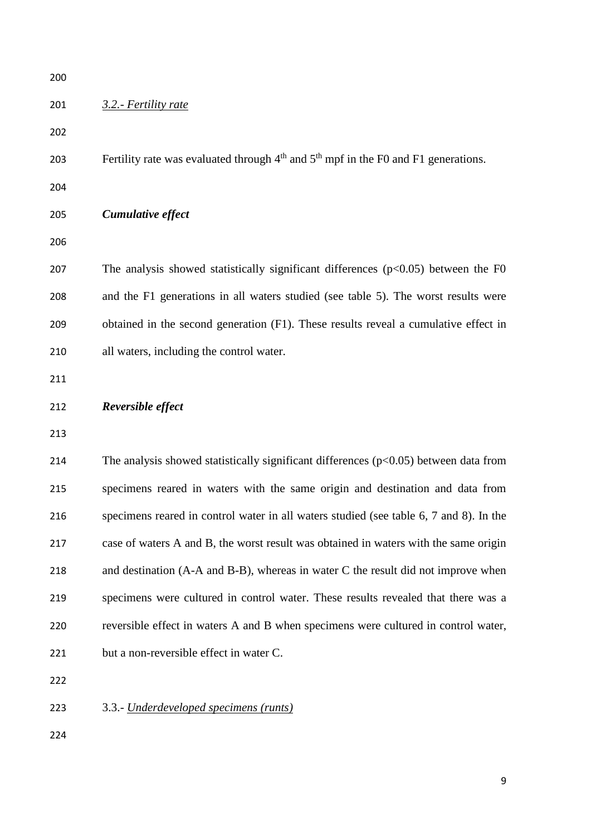| 200 |                                                                                               |
|-----|-----------------------------------------------------------------------------------------------|
| 201 | 3.2.- Fertility rate                                                                          |
| 202 |                                                                                               |
| 203 | Fertility rate was evaluated through $4th$ and $5th$ mpf in the F0 and F1 generations.        |
| 204 |                                                                                               |
| 205 | Cumulative effect                                                                             |
| 206 |                                                                                               |
| 207 | The analysis showed statistically significant differences $(p<0.05)$ between the F0           |
| 208 | and the F1 generations in all waters studied (see table 5). The worst results were            |
| 209 | obtained in the second generation (F1). These results reveal a cumulative effect in           |
| 210 | all waters, including the control water.                                                      |
| 211 |                                                                                               |
| 212 | Reversible effect                                                                             |
|     |                                                                                               |
| 213 |                                                                                               |
| 214 | The analysis showed statistically significant differences $(p<0.05)$ between data from        |
| 215 | specimens reared in waters with the same origin and destination and data from                 |
| 216 | specimens reared in control water in all waters studied (see table 6, 7 and 8). In the        |
| 217 | case of waters A and B, the worst result was obtained in waters with the same origin          |
| 218 | and destination $(A-A \text{ and } B-B)$ , whereas in water C the result did not improve when |
| 219 | specimens were cultured in control water. These results revealed that there was a             |
| 220 | reversible effect in waters A and B when specimens were cultured in control water,            |
| 221 | but a non-reversible effect in water C.                                                       |
| 222 |                                                                                               |
| 223 | 3.3.- Underdeveloped specimens (runts)                                                        |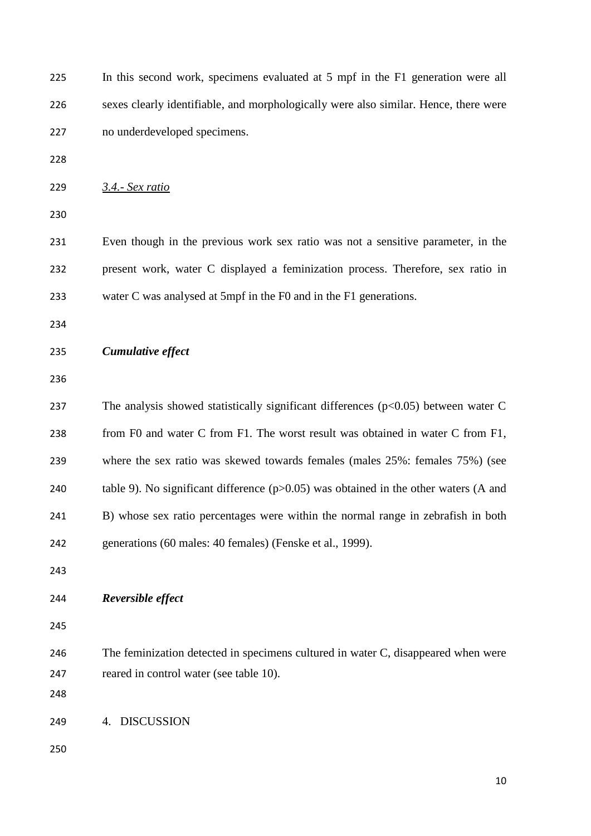| 225 | In this second work, specimens evaluated at 5 mpf in the F1 generation were all        |
|-----|----------------------------------------------------------------------------------------|
| 226 | sexes clearly identifiable, and morphologically were also similar. Hence, there were   |
| 227 | no underdeveloped specimens.                                                           |
| 228 |                                                                                        |
| 229 | 3.4.- Sex ratio                                                                        |
| 230 |                                                                                        |
| 231 | Even though in the previous work sex ratio was not a sensitive parameter, in the       |
| 232 | present work, water C displayed a feminization process. Therefore, sex ratio in        |
| 233 | water C was analysed at 5mpf in the F0 and in the F1 generations.                      |
| 234 |                                                                                        |
| 235 | Cumulative effect                                                                      |
| 236 |                                                                                        |
| 237 | The analysis showed statistically significant differences $(p<0.05)$ between water C   |
| 238 | from F0 and water C from F1. The worst result was obtained in water C from F1,         |
| 239 | where the sex ratio was skewed towards females (males 25%: females 75%) (see           |
| 240 | table 9). No significant difference $(p>0.05)$ was obtained in the other waters (A and |
| 241 | B) whose sex ratio percentages were within the normal range in zebrafish in both       |
| 242 | generations (60 males: 40 females) (Fenske et al., 1999).                              |
| 243 |                                                                                        |
| 244 | Reversible effect                                                                      |
| 245 |                                                                                        |
| 246 | The feminization detected in specimens cultured in water C, disappeared when were      |
| 247 | reared in control water (see table 10).                                                |
| 248 |                                                                                        |
| 249 | <b>DISCUSSION</b><br>4.                                                                |
| 250 |                                                                                        |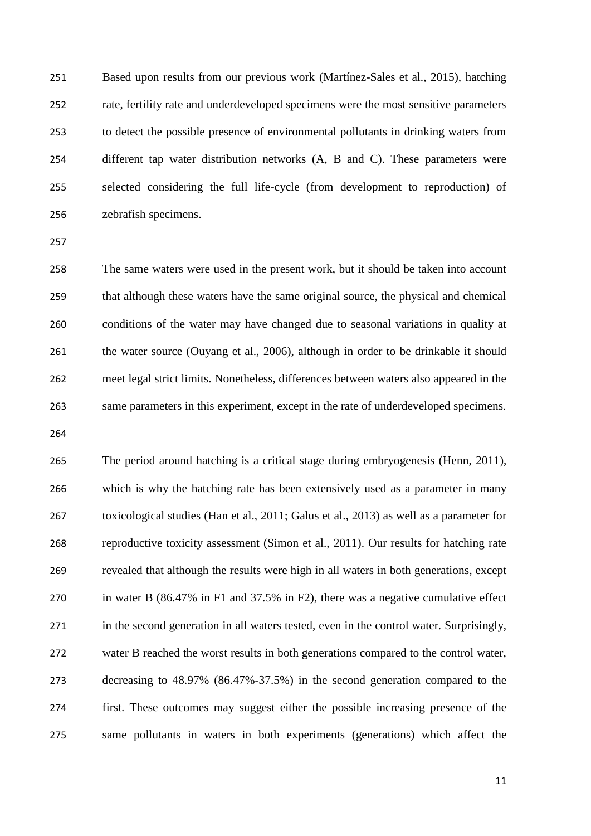Based upon results from our previous work (Martínez-Sales et al., 2015), hatching rate, fertility rate and underdeveloped specimens were the most sensitive parameters to detect the possible presence of environmental pollutants in drinking waters from different tap water distribution networks (A, B and C). These parameters were selected considering the full life-cycle (from development to reproduction) of zebrafish specimens.

 The same waters were used in the present work, but it should be taken into account that although these waters have the same original source, the physical and chemical conditions of the water may have changed due to seasonal variations in quality at 261 the water source (Ouyang et al., 2006), although in order to be drinkable it should meet legal strict limits. Nonetheless, differences between waters also appeared in the same parameters in this experiment, except in the rate of underdeveloped specimens.

 The period around hatching is a critical stage during embryogenesis (Henn, 2011), which is why the hatching rate has been extensively used as a parameter in many toxicological studies (Han et al., 2011; Galus et al., 2013) as well as a parameter for reproductive toxicity assessment (Simon et al., 2011). Our results for hatching rate revealed that although the results were high in all waters in both generations, except in water B (86.47% in F1 and 37.5% in F2), there was a negative cumulative effect in the second generation in all waters tested, even in the control water. Surprisingly, water B reached the worst results in both generations compared to the control water, decreasing to 48.97% (86.47%-37.5%) in the second generation compared to the first. These outcomes may suggest either the possible increasing presence of the same pollutants in waters in both experiments (generations) which affect the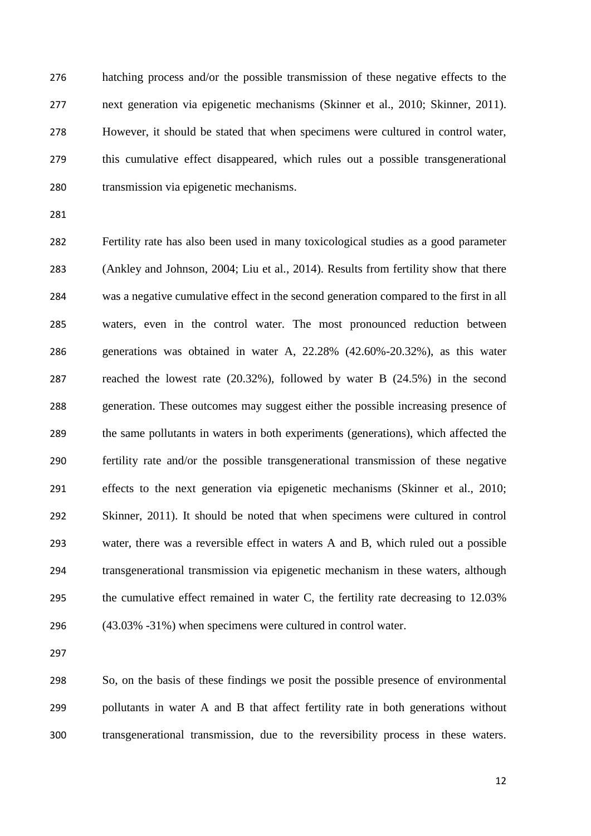hatching process and/or the possible transmission of these negative effects to the next generation via epigenetic mechanisms (Skinner et al., 2010; Skinner, 2011). However, it should be stated that when specimens were cultured in control water, this cumulative effect disappeared, which rules out a possible transgenerational transmission via epigenetic mechanisms.

 Fertility rate has also been used in many toxicological studies as a good parameter (Ankley and Johnson, 2004; Liu et al., 2014). Results from fertility show that there was a negative cumulative effect in the second generation compared to the first in all waters, even in the control water. The most pronounced reduction between generations was obtained in water A, 22.28% (42.60%-20.32%), as this water reached the lowest rate (20.32%), followed by water B (24.5%) in the second generation. These outcomes may suggest either the possible increasing presence of the same pollutants in waters in both experiments (generations), which affected the fertility rate and/or the possible transgenerational transmission of these negative effects to the next generation via epigenetic mechanisms (Skinner et al., 2010; Skinner, 2011). It should be noted that when specimens were cultured in control water, there was a reversible effect in waters A and B, which ruled out a possible transgenerational transmission via epigenetic mechanism in these waters, although the cumulative effect remained in water C, the fertility rate decreasing to 12.03% (43.03% -31%) when specimens were cultured in control water.

 So, on the basis of these findings we posit the possible presence of environmental pollutants in water A and B that affect fertility rate in both generations without transgenerational transmission, due to the reversibility process in these waters.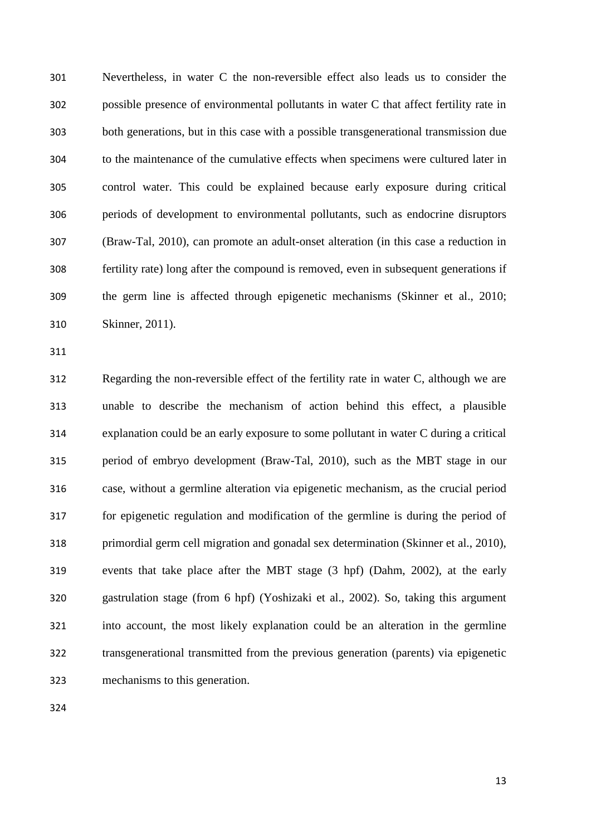Nevertheless, in water C the non-reversible effect also leads us to consider the possible presence of environmental pollutants in water C that affect fertility rate in both generations, but in this case with a possible transgenerational transmission due to the maintenance of the cumulative effects when specimens were cultured later in control water. This could be explained because early exposure during critical periods of development to environmental pollutants, such as endocrine disruptors (Braw-Tal, 2010), can promote an adult-onset alteration (in this case a reduction in fertility rate) long after the compound is removed, even in subsequent generations if the germ line is affected through epigenetic mechanisms (Skinner et al., 2010; Skinner, 2011).

 Regarding the non-reversible effect of the fertility rate in water C, although we are unable to describe the mechanism of action behind this effect, a plausible explanation could be an early exposure to some pollutant in water C during a critical period of embryo development (Braw-Tal, 2010), such as the MBT stage in our case, without a germline alteration via epigenetic mechanism, as the crucial period for epigenetic regulation and modification of the germline is during the period of primordial germ cell migration and gonadal sex determination (Skinner et al., 2010), events that take place after the MBT stage (3 hpf) (Dahm, 2002), at the early gastrulation stage (from 6 hpf) (Yoshizaki et al., 2002). So, taking this argument into account, the most likely explanation could be an alteration in the germline transgenerational transmitted from the previous generation (parents) via epigenetic mechanisms to this generation.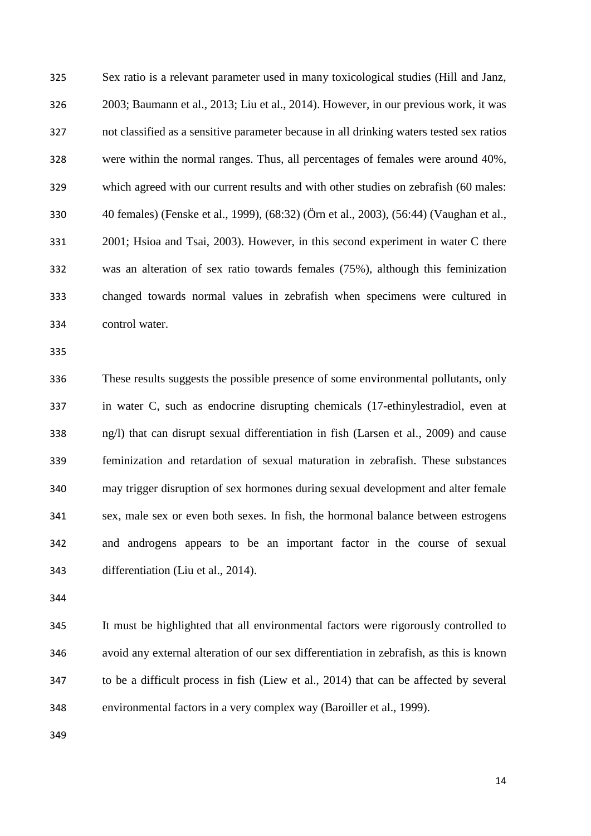Sex ratio is a relevant parameter used in many toxicological studies (Hill and Janz, 2003; Baumann et al., 2013; Liu et al., 2014). However, in our previous work, it was not classified as a sensitive parameter because in all drinking waters tested sex ratios were within the normal ranges. Thus, all percentages of females were around 40%, which agreed with our current results and with other studies on zebrafish (60 males: 40 females) (Fenske et al., 1999), (68:32) (Örn et al., 2003), (56:44) (Vaughan et al., 2001; Hsioa and Tsai, 2003). However, in this second experiment in water C there was an alteration of sex ratio towards females (75%), although this feminization changed towards normal values in zebrafish when specimens were cultured in control water.

 These results suggests the possible presence of some environmental pollutants, only in water C, such as endocrine disrupting chemicals (17-ethinylestradiol, even at ng/l) that can disrupt sexual differentiation in fish (Larsen et al., 2009) and cause feminization and retardation of sexual maturation in zebrafish. These substances may trigger disruption of sex hormones during sexual development and alter female sex, male sex or even both sexes. In fish, the hormonal balance between estrogens and androgens appears to be an important factor in the course of sexual differentiation (Liu et al., 2014).

 It must be highlighted that all environmental factors were rigorously controlled to avoid any external alteration of our sex differentiation in zebrafish, as this is known to be a difficult process in fish (Liew et al., 2014) that can be affected by several environmental factors in a very complex way (Baroiller et al., 1999).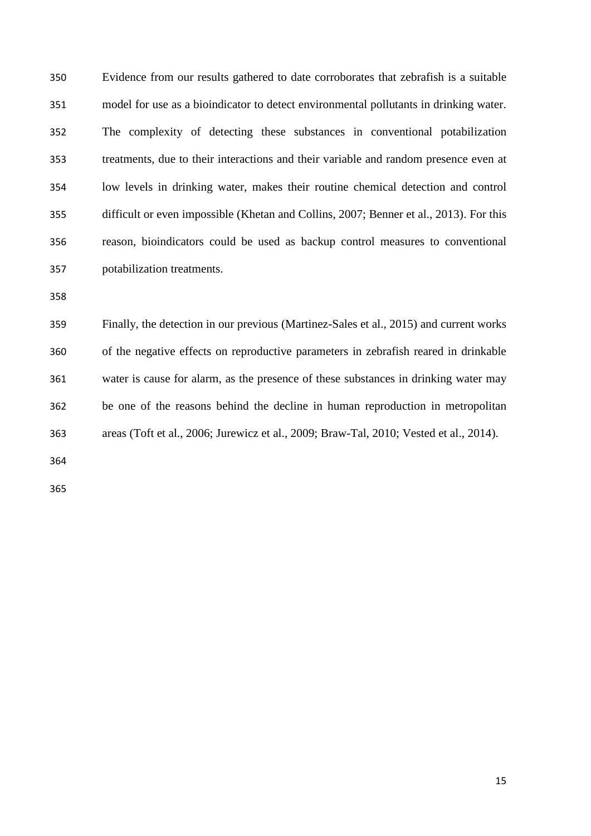Evidence from our results gathered to date corroborates that zebrafish is a suitable model for use as a bioindicator to detect environmental pollutants in drinking water. The complexity of detecting these substances in conventional potabilization treatments, due to their interactions and their variable and random presence even at low levels in drinking water, makes their routine chemical detection and control difficult or even impossible (Khetan and Collins, 2007; Benner et al., 2013). For this reason, bioindicators could be used as backup control measures to conventional potabilization treatments.

 Finally, the detection in our previous (Martinez-Sales et al., 2015) and current works of the negative effects on reproductive parameters in zebrafish reared in drinkable water is cause for alarm, as the presence of these substances in drinking water may be one of the reasons behind the decline in human reproduction in metropolitan areas (Toft et al., 2006; Jurewicz et al., 2009; Braw-Tal, 2010; Vested et al., 2014).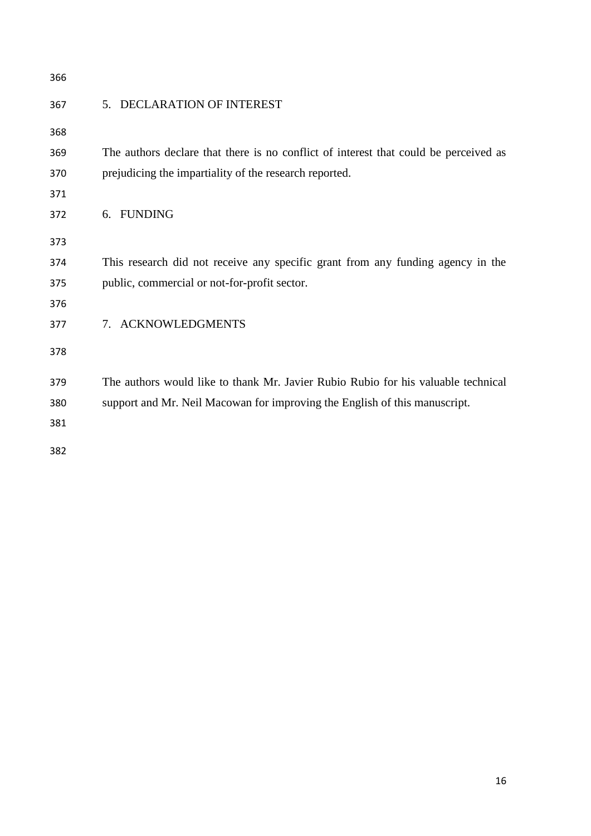| 366 |                                                                                      |
|-----|--------------------------------------------------------------------------------------|
| 367 | DECLARATION OF INTEREST<br>5 <sub>1</sub>                                            |
| 368 |                                                                                      |
| 369 | The authors declare that there is no conflict of interest that could be perceived as |
| 370 | prejudicing the impartiality of the research reported.                               |
| 371 |                                                                                      |
| 372 | <b>FUNDING</b><br>6.                                                                 |
| 373 |                                                                                      |
| 374 | This research did not receive any specific grant from any funding agency in the      |
| 375 | public, commercial or not-for-profit sector.                                         |
| 376 |                                                                                      |
| 377 | <b>ACKNOWLEDGMENTS</b><br>7.                                                         |
| 378 |                                                                                      |
| 379 | The authors would like to thank Mr. Javier Rubio Rubio for his valuable technical    |
| 380 | support and Mr. Neil Macowan for improving the English of this manuscript.           |
| 381 |                                                                                      |
| 382 |                                                                                      |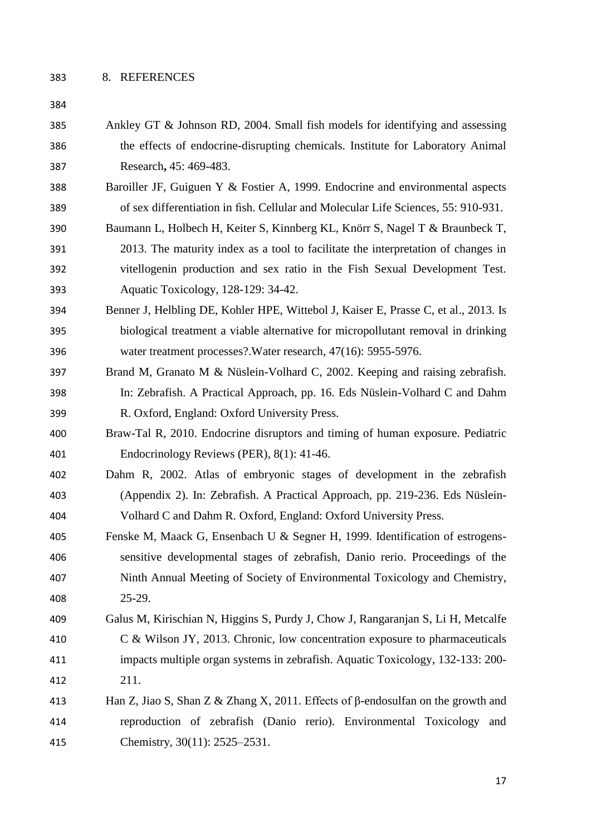- Ankley GT & Johnson RD, 2004. Small fish models for identifying and assessing the effects of endocrine-disrupting chemicals. Institute for Laboratory Animal Research**,** 45: 469-483.
- Baroiller JF, Guiguen Y & Fostier A, 1999. Endocrine and environmental aspects of sex differentiation in fish. Cellular and Molecular Life Sciences, 55: 910-931.
- Baumann L, Holbech H, Keiter S, Kinnberg KL, Knörr S, Nagel T & Braunbeck T, 2013. The maturity index as a tool to facilitate the interpretation of changes in vitellogenin production and sex ratio in the Fish Sexual Development Test. Aquatic Toxicology, 128-129: 34-42.
- Benner J, Helbling DE, Kohler HPE, Wittebol J, Kaiser E, Prasse C, et al., 2013. Is biological treatment a viable alternative for micropollutant removal in drinking water treatment processes?.Water research, 47(16): 5955-5976.
- Brand M, Granato M & Nüslein-Volhard C, 2002. Keeping and raising zebrafish. In: Zebrafish. A Practical Approach, pp. 16. Eds Nüslein-Volhard C and Dahm R. Oxford, England: Oxford University Press.
- Braw-Tal R, 2010. Endocrine disruptors and timing of human exposure. Pediatric Endocrinology Reviews (PER), 8(1): 41-46.
- Dahm R, 2002. Atlas of embryonic stages of development in the zebrafish (Appendix 2). In: Zebrafish. A Practical Approach, pp. 219-236. Eds Nüslein-Volhard C and Dahm R. Oxford, England: Oxford University Press.
- Fenske M, Maack G, Ensenbach U & Segner H, 1999. Identification of estrogens- sensitive developmental stages of zebrafish, Danio rerio. Proceedings of the Ninth Annual Meeting of Society of Environmental Toxicology and Chemistry, 25-29.
- Galus M, Kirischian N, Higgins S, Purdy J, Chow J, Rangaranjan S, Li H, Metcalfe C & Wilson JY, 2013. Chronic, low concentration exposure to pharmaceuticals impacts multiple organ systems in zebrafish. Aquatic Toxicology, 132-133: 200- 211.
- Han Z, Jiao S, Shan Z & Zhang X, 2011. Effects of β-endosulfan on the growth and reproduction of zebrafish (Danio rerio). Environmental Toxicology and Chemistry, 30(11): 2525–2531.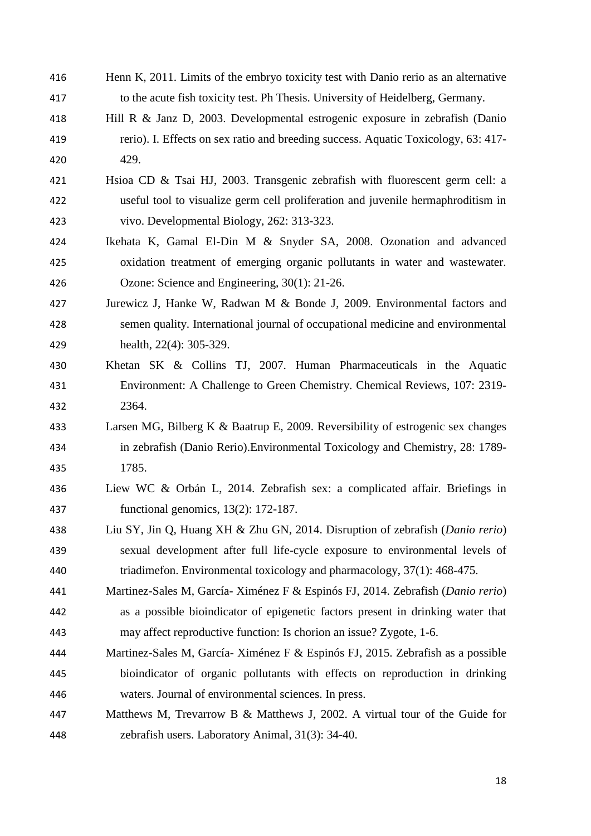| 416 | Henn K, 2011. Limits of the embryo toxicity test with Danio rerio as an alternative |
|-----|-------------------------------------------------------------------------------------|
| 417 | to the acute fish toxicity test. Ph Thesis. University of Heidelberg, Germany.      |
| 418 | Hill R & Janz D, 2003. Developmental estrogenic exposure in zebrafish (Danio        |
| 419 | rerio). I. Effects on sex ratio and breeding success. Aquatic Toxicology, 63: 417-  |
| 420 | 429.                                                                                |
| 421 | Hsioa CD & Tsai HJ, 2003. Transgenic zebrafish with fluorescent germ cell: a        |
| 422 | useful tool to visualize germ cell proliferation and juvenile hermaphroditism in    |
| 423 | vivo. Developmental Biology, 262: 313-323.                                          |
| 424 | Ikehata K, Gamal El-Din M & Snyder SA, 2008. Ozonation and advanced                 |
| 425 | oxidation treatment of emerging organic pollutants in water and wastewater.         |
| 426 | Ozone: Science and Engineering, 30(1): 21-26.                                       |
| 427 | Jurewicz J, Hanke W, Radwan M & Bonde J, 2009. Environmental factors and            |
| 428 | semen quality. International journal of occupational medicine and environmental     |
| 429 | health, 22(4): 305-329.                                                             |
| 430 | Khetan SK & Collins TJ, 2007. Human Pharmaceuticals in the Aquatic                  |
| 431 | Environment: A Challenge to Green Chemistry. Chemical Reviews, 107: 2319-           |
| 432 | 2364.                                                                               |
| 433 | Larsen MG, Bilberg K & Baatrup E, 2009. Reversibility of estrogenic sex changes     |
| 434 | in zebrafish (Danio Rerio). Environmental Toxicology and Chemistry, 28: 1789-       |
| 435 | 1785.                                                                               |
| 436 | Liew WC & Orbán L, 2014. Zebrafish sex: a complicated affair. Briefings in          |
| 437 | functional genomics, $13(2)$ : 172-187.                                             |
| 438 | Liu SY, Jin Q, Huang XH & Zhu GN, 2014. Disruption of zebrafish (Danio rerio)       |
| 439 | sexual development after full life-cycle exposure to environmental levels of        |
| 440 | triadimeton. Environmental toxicology and pharmacology, 37(1): 468-475.             |
| 441 | Martinez-Sales M, García-Ximénez F & Espinós FJ, 2014. Zebrafish (Danio rerio)      |
| 442 | as a possible bioindicator of epigenetic factors present in drinking water that     |
| 443 | may affect reproductive function: Is chorion an issue? Zygote, 1-6.                 |
| 444 | Martinez-Sales M, García-Ximénez F & Espinós FJ, 2015. Zebrafish as a possible      |
| 445 | bioindicator of organic pollutants with effects on reproduction in drinking         |
| 446 | waters. Journal of environmental sciences. In press.                                |
| 447 | Matthews M, Trevarrow B & Matthews J, 2002. A virtual tour of the Guide for         |
| 448 | zebrafish users. Laboratory Animal, 31(3): 34-40.                                   |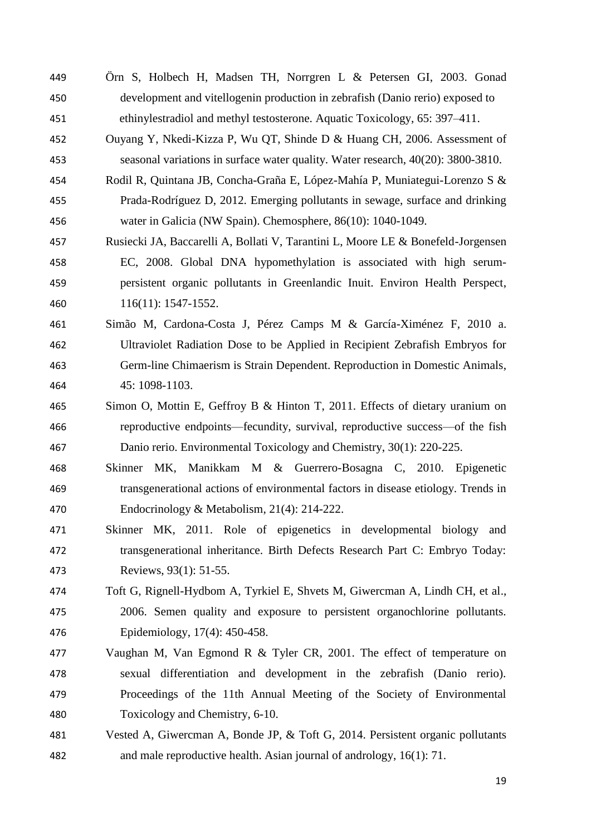- Örn S, Holbech H, Madsen TH, Norrgren L & Petersen GI, 2003. Gonad development and vitellogenin production in zebrafish (Danio rerio) exposed to ethinylestradiol and methyl testosterone. Aquatic Toxicology, 65: 397–411.
- Ouyang Y, Nkedi-Kizza P, Wu QT, Shinde D & Huang CH, 2006. Assessment of seasonal variations in surface water quality. Water research, 40(20): 3800-3810.
- Rodil R, Quintana JB, Concha-Graña E, López-Mahía P, Muniategui-Lorenzo S & Prada-Rodríguez D, 2012. Emerging pollutants in sewage, surface and drinking water in Galicia (NW Spain). Chemosphere, 86(10): 1040-1049.
- Rusiecki JA, Baccarelli A, Bollati V, Tarantini L, Moore LE & Bonefeld-Jorgensen EC, 2008. Global DNA hypomethylation is associated with high serum- persistent organic pollutants in Greenlandic Inuit. Environ Health Perspect, 116(11): 1547-1552.
- Simão M, Cardona-Costa J, Pérez Camps M & García-Ximénez F, 2010 a. Ultraviolet Radiation Dose to be Applied in Recipient Zebrafish Embryos for Germ-line Chimaerism is Strain Dependent. Reproduction in Domestic Animals, 45: 1098-1103.
- Simon O, Mottin E, Geffroy B & Hinton T, 2011. Effects of dietary uranium on reproductive endpoints—fecundity, survival, reproductive success—of the fish Danio rerio. Environmental Toxicology and Chemistry, 30(1): 220-225.
- Skinner MK, Manikkam M & Guerrero-Bosagna C, 2010. Epigenetic transgenerational actions of environmental factors in disease etiology. Trends in Endocrinology & Metabolism, 21(4): 214-222.
- Skinner MK, 2011. Role of epigenetics in developmental biology and transgenerational inheritance. Birth Defects Research Part C: Embryo Today: Reviews, 93(1): 51-55.
- Toft G, Rignell-Hydbom A, Tyrkiel E, Shvets M, Giwercman A, Lindh CH, et al., 2006. Semen quality and exposure to persistent organochlorine pollutants. Epidemiology, 17(4): 450-458.
- Vaughan M, Van Egmond R & Tyler CR, 2001. The effect of temperature on sexual differentiation and development in the zebrafish (Danio rerio). Proceedings of the 11th Annual Meeting of the Society of Environmental Toxicology and Chemistry, 6-10.
- Vested A, Giwercman A, Bonde JP, & Toft G, 2014. Persistent organic pollutants and male reproductive health. Asian journal of andrology, 16(1): 71.